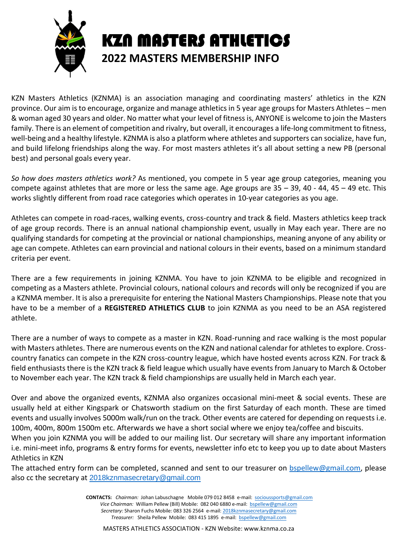

KZN Masters Athletics (KZNMA) is an association managing and coordinating masters' athletics in the KZN province. Our aim is to encourage, organize and manage athletics in 5 year age groups for Masters Athletes – men & woman aged 30 years and older. No matter what your level of fitness is, ANYONE is welcome to join the Masters family. There is an element of competition and rivalry, but overall, it encourages a life-long commitment to fitness, well-being and a healthy lifestyle. KZNMA is also a platform where athletes and supporters can socialize, have fun, and build lifelong friendships along the way. For most masters athletes it's all about setting a new PB (personal best) and personal goals every year.

*So how does masters athletics work?* As mentioned, you compete in 5 year age group categories, meaning you compete against athletes that are more or less the same age. Age groups are  $35 - 39$ ,  $40 - 44$ ,  $45 - 49$  etc. This works slightly different from road race categories which operates in 10-year categories as you age.

Athletes can compete in road-races, walking events, cross-country and track & field. Masters athletics keep track of age group records. There is an annual national championship event, usually in May each year. There are no qualifying standards for competing at the provincial or national championships, meaning anyone of any ability or age can compete. Athletes can earn provincial and national colours in their events, based on a minimum standard criteria per event.

There are a few requirements in joining KZNMA. You have to join KZNMA to be eligible and recognized in competing as a Masters athlete. Provincial colours, national colours and records will only be recognized if you are a KZNMA member. It is also a prerequisite for entering the National Masters Championships. Please note that you have to be a member of a **REGISTERED ATHLETICS CLUB** to join KZNMA as you need to be an ASA registered athlete.

There are a number of ways to compete as a master in KZN. Road-running and race walking is the most popular with Masters athletes. There are numerous events on the KZN and national calendar for athletes to explore. Crosscountry fanatics can compete in the KZN cross-country league, which have hosted events across KZN. For track & field enthusiasts there is the KZN track & field league which usually have events from January to March & October to November each year. The KZN track & field championships are usually held in March each year.

Over and above the organized events, KZNMA also organizes occasional mini-meet & social events. These are usually held at either Kingspark or Chatsworth stadium on the first Saturday of each month. These are timed events and usually involves 5000m walk/run on the track. Other events are catered for depending on requests i.e. 100m, 400m, 800m 1500m etc. Afterwards we have a short social where we enjoy tea/coffee and biscuits.

When you join KZNMA you will be added to our mailing list. Our secretary will share any important information i.e. mini-meet info, programs & entry forms for events, newsletter info etc to keep you up to date about Masters Athletics in KZN

The attached entry form can be completed, scanned and sent to our treasurer on **bspellew@gmail.com**, please also cc the secretary at 2018kznmasecretary@gmail.com

> **CONTACTS:** *Chairman:* Johan Labuschagne Mobile 079 012 8458 e-mail: socioussports@gmail.com *Vice Chairman:* William Pellew (Bill) Mobile: 082 040 6880 e-mail: bspellew@gmail.com *Secretary:* Sharon Fuchs Mobile: 083 326 2564 e-mail: 2018kznmasecretary@gmail.com *Treasurer:* Sheila Pellew Mobile: 083 415 1895 e-mail: bspellew@gmail.com